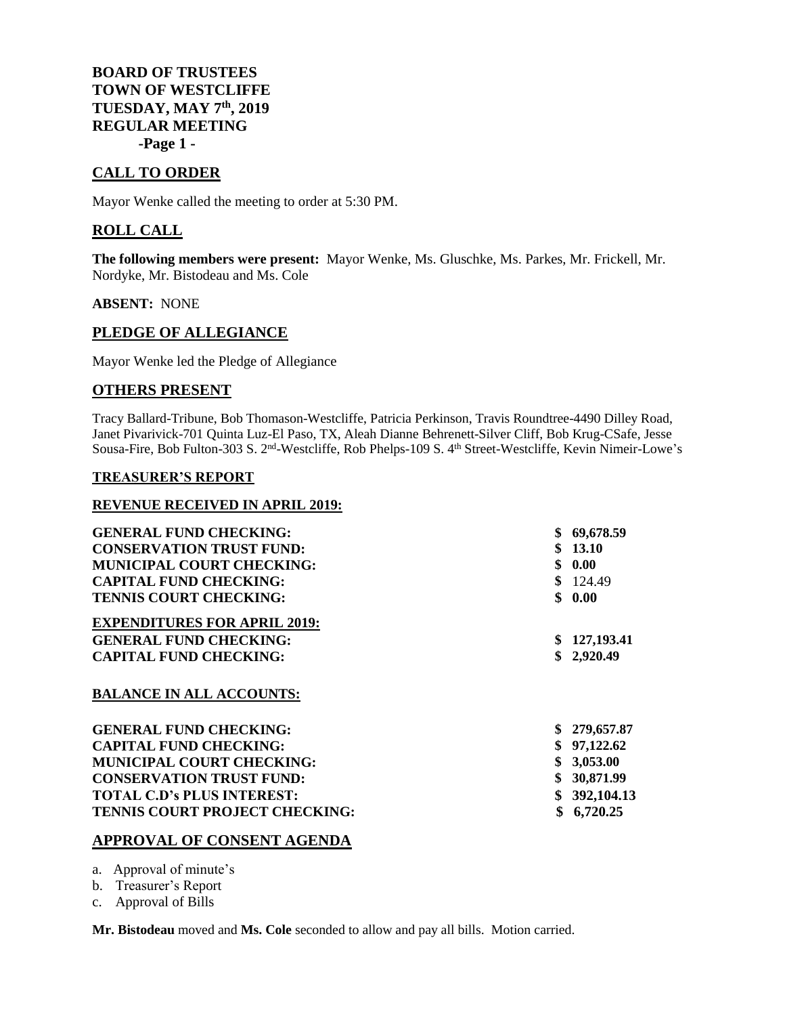**BOARD OF TRUSTEES TOWN OF WESTCLIFFE TUESDAY, MAY 7 th , 2019 REGULAR MEETING -Page 1 -**

# **CALL TO ORDER**

Mayor Wenke called the meeting to order at 5:30 PM.

## **ROLL CALL**

**The following members were present:** Mayor Wenke, Ms. Gluschke, Ms. Parkes, Mr. Frickell, Mr. Nordyke, Mr. Bistodeau and Ms. Cole

**ABSENT:** NONE

## **PLEDGE OF ALLEGIANCE**

Mayor Wenke led the Pledge of Allegiance

### **OTHERS PRESENT**

Tracy Ballard-Tribune, Bob Thomason-Westcliffe, Patricia Perkinson, Travis Roundtree-4490 Dilley Road, Janet Pivarivick-701 Quinta Luz-El Paso, TX, Aleah Dianne Behrenett-Silver Cliff, Bob Krug-CSafe, Jesse Sousa-Fire, Bob Fulton-303 S. 2<sup>nd</sup>-Westcliffe, Rob Phelps-109 S. 4<sup>th</sup> Street-Westcliffe, Kevin Nimeir-Lowe's

#### **TREASURER'S REPORT**

#### **REVENUE RECEIVED IN APRIL 2019:**

| <b>GENERAL FUND CHECKING:</b>         |     | 69,678.59  |
|---------------------------------------|-----|------------|
|                                       |     |            |
| <b>CONSERVATION TRUST FUND:</b>       |     | 13.10      |
| <b>MUNICIPAL COURT CHECKING:</b>      | \$  | 0.00       |
| <b>CAPITAL FUND CHECKING:</b>         |     | 124.49     |
| <b>TENNIS COURT CHECKING:</b>         | \$. | 0.00       |
| <b>EXPENDITURES FOR APRIL 2019:</b>   |     |            |
| <b>GENERAL FUND CHECKING:</b>         |     | 127,193.41 |
| <b>CAPITAL FUND CHECKING:</b>         |     | \$2,920.49 |
| <b>BALANCE IN ALL ACCOUNTS:</b>       |     |            |
| <b>GENERAL FUND CHECKING:</b>         |     | 279,657.87 |
| <b>CAPITAL FUND CHECKING:</b>         |     | 97,122.62  |
| <b>MUNICIPAL COURT CHECKING:</b>      |     | 3,053.00   |
| <b>CONSERVATION TRUST FUND:</b>       |     | 30,871.99  |
| <b>TOTAL C.D's PLUS INTEREST:</b>     |     | 392,104.13 |
| <b>TENNIS COURT PROJECT CHECKING:</b> | \$  | 6,720.25   |
|                                       |     |            |

### **APPROVAL OF CONSENT AGENDA**

a. Approval of minute's

b. Treasurer's Report

c. Approval of Bills

**Mr. Bistodeau** moved and **Ms. Cole** seconded to allow and pay all bills. Motion carried.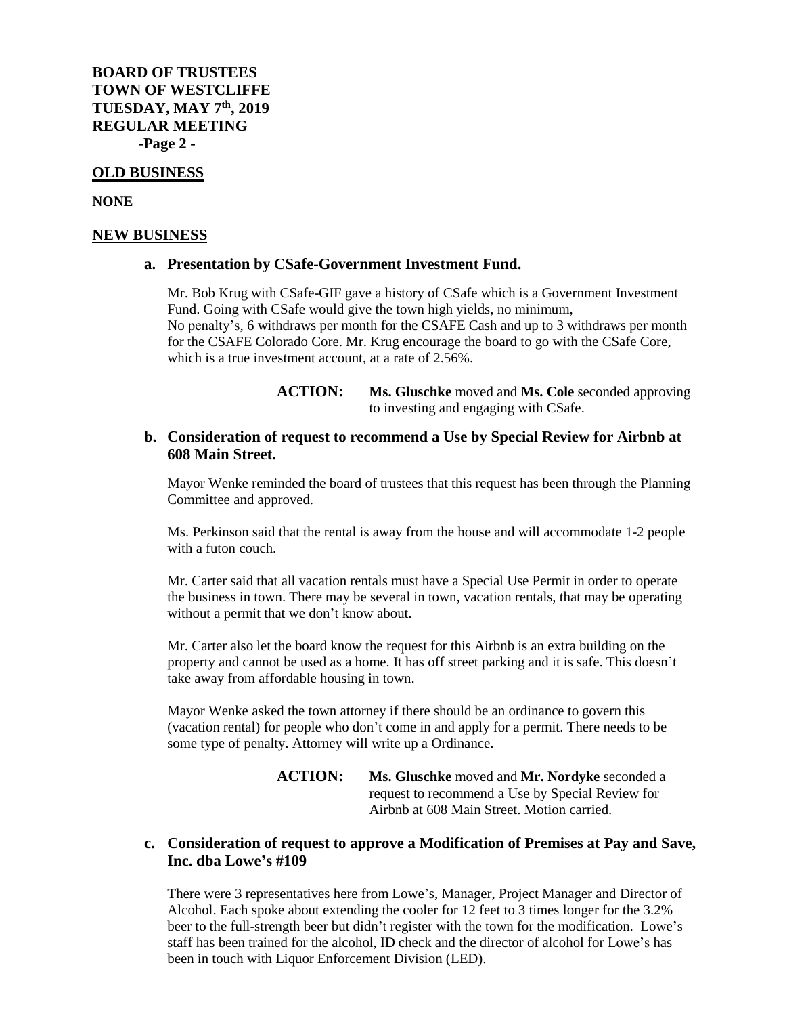**BOARD OF TRUSTEES TOWN OF WESTCLIFFE TUESDAY, MAY 7 th, 2019 REGULAR MEETING -Page 2 -**

#### **OLD BUSINESS**

**NONE**

#### **NEW BUSINESS**

#### **a. Presentation by CSafe-Government Investment Fund.**

Mr. Bob Krug with CSafe-GIF gave a history of CSafe which is a Government Investment Fund. Going with CSafe would give the town high yields, no minimum, No penalty's, 6 withdraws per month for the CSAFE Cash and up to 3 withdraws per month for the CSAFE Colorado Core. Mr. Krug encourage the board to go with the CSafe Core, which is a true investment account, at a rate of 2.56%.

> **ACTION: Ms. Gluschke** moved and **Ms. Cole** seconded approving to investing and engaging with CSafe.

### **b. Consideration of request to recommend a Use by Special Review for Airbnb at 608 Main Street.**

Mayor Wenke reminded the board of trustees that this request has been through the Planning Committee and approved.

Ms. Perkinson said that the rental is away from the house and will accommodate 1-2 people with a futon couch.

Mr. Carter said that all vacation rentals must have a Special Use Permit in order to operate the business in town. There may be several in town, vacation rentals, that may be operating without a permit that we don't know about.

Mr. Carter also let the board know the request for this Airbnb is an extra building on the property and cannot be used as a home. It has off street parking and it is safe. This doesn't take away from affordable housing in town.

Mayor Wenke asked the town attorney if there should be an ordinance to govern this (vacation rental) for people who don't come in and apply for a permit. There needs to be some type of penalty. Attorney will write up a Ordinance.

> **ACTION: Ms. Gluschke** moved and **Mr. Nordyke** seconded a request to recommend a Use by Special Review for Airbnb at 608 Main Street. Motion carried.

## **c. Consideration of request to approve a Modification of Premises at Pay and Save, Inc. dba Lowe's #109**

There were 3 representatives here from Lowe's, Manager, Project Manager and Director of Alcohol. Each spoke about extending the cooler for 12 feet to 3 times longer for the 3.2% beer to the full-strength beer but didn't register with the town for the modification. Lowe's staff has been trained for the alcohol, ID check and the director of alcohol for Lowe's has been in touch with Liquor Enforcement Division (LED).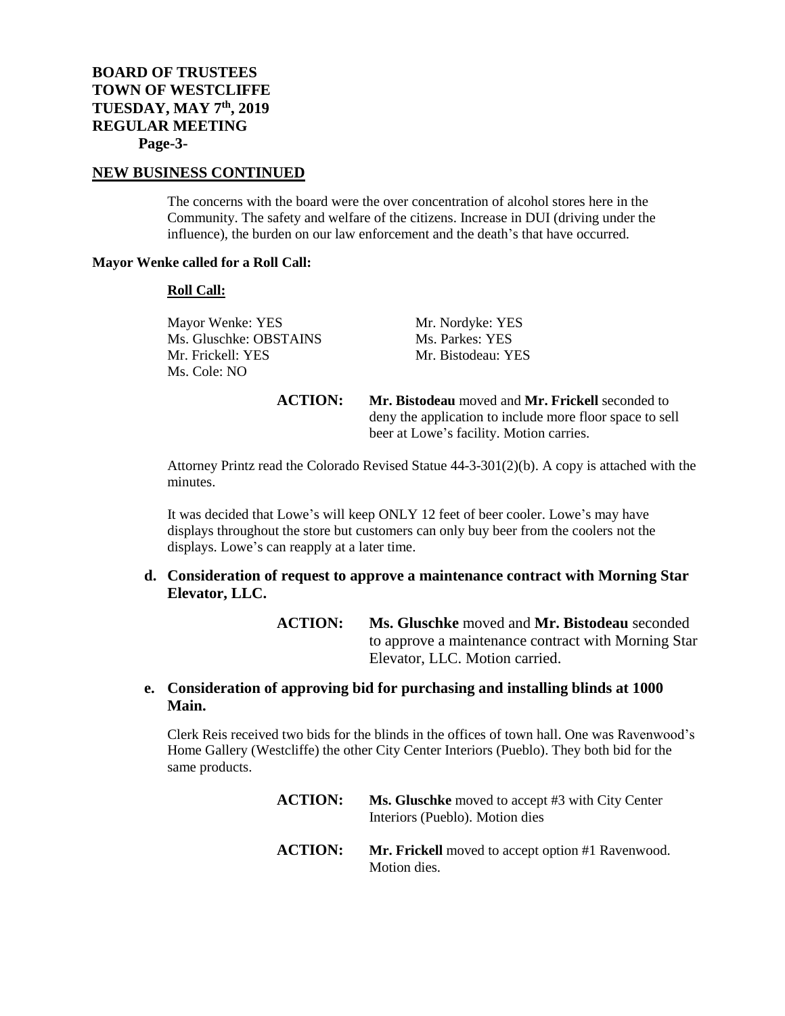#### **NEW BUSINESS CONTINUED**

The concerns with the board were the over concentration of alcohol stores here in the Community. The safety and welfare of the citizens. Increase in DUI (driving under the influence), the burden on our law enforcement and the death's that have occurred.

#### **Mayor Wenke called for a Roll Call:**

#### **Roll Call:**

Mayor Wenke: YES<br>
Mr. Nordyke: YES<br>
Ms. Gluschke: OBSTAINS<br>
Ms. Parkes: YES Ms. Gluschke: OBSTAINS Mr. Frickell: YES Mr. Bistodeau: YES Ms. Cole: NO

**ACTION: Mr. Bistodeau** moved and **Mr. Frickell** seconded to deny the application to include more floor space to sell beer at Lowe's facility. Motion carries.

Attorney Printz read the Colorado Revised Statue 44-3-301(2)(b). A copy is attached with the minutes.

It was decided that Lowe's will keep ONLY 12 feet of beer cooler. Lowe's may have displays throughout the store but customers can only buy beer from the coolers not the displays. Lowe's can reapply at a later time.

### **d. Consideration of request to approve a maintenance contract with Morning Star Elevator, LLC.**

**ACTION: Ms. Gluschke** moved and **Mr. Bistodeau** seconded to approve a maintenance contract with Morning Star Elevator, LLC. Motion carried.

### **e. Consideration of approving bid for purchasing and installing blinds at 1000 Main.**

Clerk Reis received two bids for the blinds in the offices of town hall. One was Ravenwood's Home Gallery (Westcliffe) the other City Center Interiors (Pueblo). They both bid for the same products.

| <b>ACTION:</b> | Ms. Gluschke moved to accept #3 with City Center<br>Interiors (Pueblo). Motion dies |
|----------------|-------------------------------------------------------------------------------------|
| <b>ACTION:</b> | <b>Mr. Frickell</b> moved to accept option #1 Ravenwood.<br>Motion dies.            |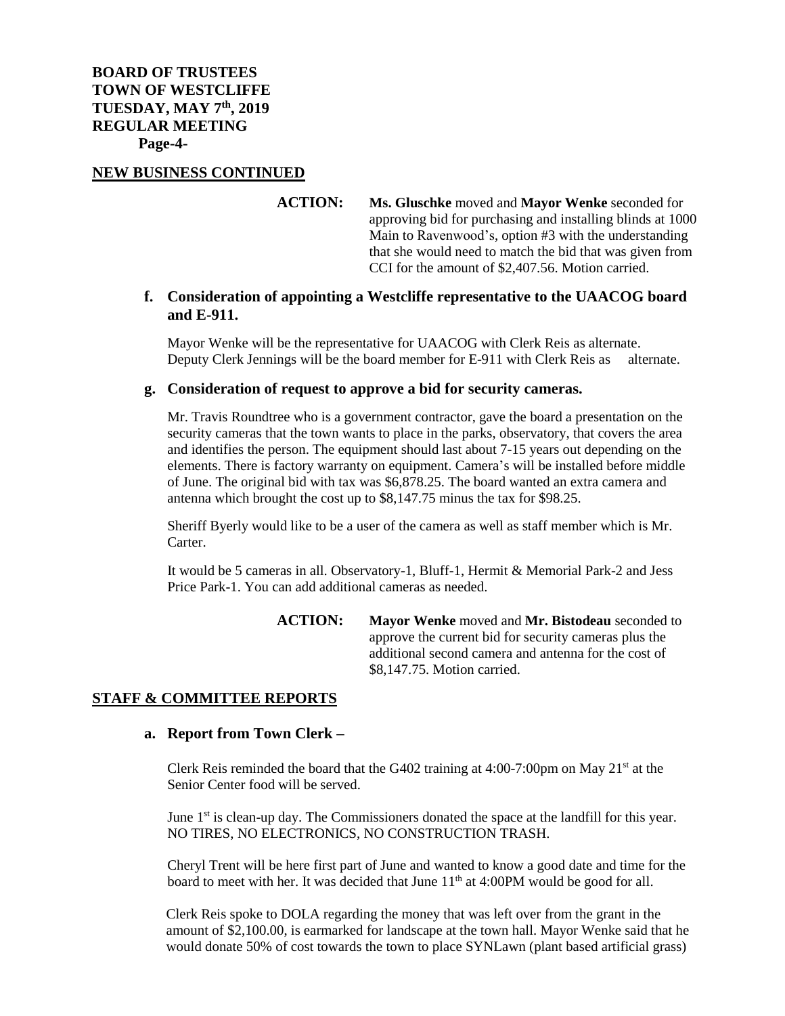### **NEW BUSINESS CONTINUED**

**ACTION: Ms. Gluschke** moved and **Mayor Wenke** seconded for approving bid for purchasing and installing blinds at 1000 Main to Ravenwood's, option #3 with the understanding that she would need to match the bid that was given from CCI for the amount of \$2,407.56. Motion carried.

### **f. Consideration of appointing a Westcliffe representative to the UAACOG board and E-911.**

Mayor Wenke will be the representative for UAACOG with Clerk Reis as alternate. Deputy Clerk Jennings will be the board member for E-911 with Clerk Reis as alternate.

#### **g. Consideration of request to approve a bid for security cameras.**

Mr. Travis Roundtree who is a government contractor, gave the board a presentation on the security cameras that the town wants to place in the parks, observatory, that covers the area and identifies the person. The equipment should last about 7-15 years out depending on the elements. There is factory warranty on equipment. Camera's will be installed before middle of June. The original bid with tax was \$6,878.25. The board wanted an extra camera and antenna which brought the cost up to \$8,147.75 minus the tax for \$98.25.

Sheriff Byerly would like to be a user of the camera as well as staff member which is Mr. Carter.

It would be 5 cameras in all. Observatory-1, Bluff-1, Hermit & Memorial Park-2 and Jess Price Park-1. You can add additional cameras as needed.

> **ACTION: Mayor Wenke** moved and **Mr. Bistodeau** seconded to approve the current bid for security cameras plus the additional second camera and antenna for the cost of \$8,147.75. Motion carried.

### **STAFF & COMMITTEE REPORTS**

#### **a. Report from Town Clerk –**

Clerk Reis reminded the board that the G402 training at 4:00-7:00pm on May  $21<sup>st</sup>$  at the Senior Center food will be served.

June  $1<sup>st</sup>$  is clean-up day. The Commissioners donated the space at the landfill for this year. NO TIRES, NO ELECTRONICS, NO CONSTRUCTION TRASH.

Cheryl Trent will be here first part of June and wanted to know a good date and time for the board to meet with her. It was decided that June 11<sup>th</sup> at 4:00PM would be good for all.

Clerk Reis spoke to DOLA regarding the money that was left over from the grant in the amount of \$2,100.00, is earmarked for landscape at the town hall. Mayor Wenke said that he would donate 50% of cost towards the town to place SYNLawn (plant based artificial grass)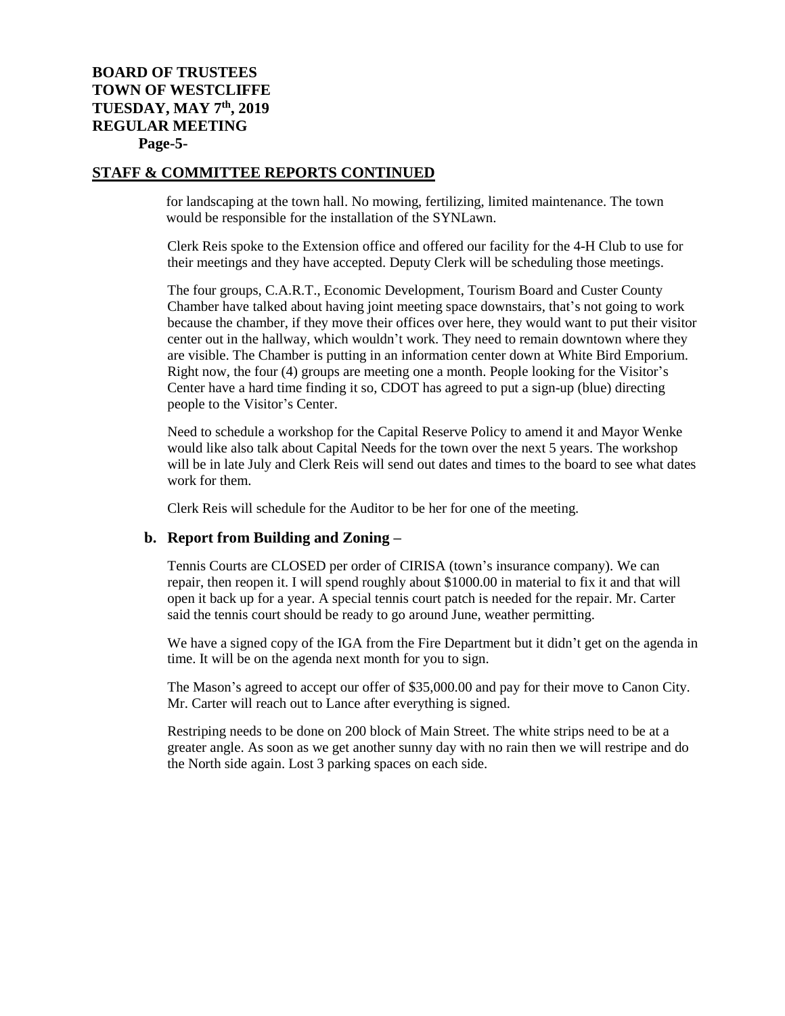# **BOARD OF TRUSTEES TOWN OF WESTCLIFFE TUESDAY, MAY 7 th , 2019 REGULAR MEETING Page-5-**

## **STAFF & COMMITTEE REPORTS CONTINUED**

for landscaping at the town hall. No mowing, fertilizing, limited maintenance. The town would be responsible for the installation of the SYNLawn.

Clerk Reis spoke to the Extension office and offered our facility for the 4-H Club to use for their meetings and they have accepted. Deputy Clerk will be scheduling those meetings.

The four groups, C.A.R.T., Economic Development, Tourism Board and Custer County Chamber have talked about having joint meeting space downstairs, that's not going to work because the chamber, if they move their offices over here, they would want to put their visitor center out in the hallway, which wouldn't work. They need to remain downtown where they are visible. The Chamber is putting in an information center down at White Bird Emporium. Right now, the four (4) groups are meeting one a month. People looking for the Visitor's Center have a hard time finding it so, CDOT has agreed to put a sign-up (blue) directing people to the Visitor's Center.

Need to schedule a workshop for the Capital Reserve Policy to amend it and Mayor Wenke would like also talk about Capital Needs for the town over the next 5 years. The workshop will be in late July and Clerk Reis will send out dates and times to the board to see what dates work for them.

Clerk Reis will schedule for the Auditor to be her for one of the meeting.

#### **b. Report from Building and Zoning –**

Tennis Courts are CLOSED per order of CIRISA (town's insurance company). We can repair, then reopen it. I will spend roughly about \$1000.00 in material to fix it and that will open it back up for a year. A special tennis court patch is needed for the repair. Mr. Carter said the tennis court should be ready to go around June, weather permitting.

We have a signed copy of the IGA from the Fire Department but it didn't get on the agenda in time. It will be on the agenda next month for you to sign.

The Mason's agreed to accept our offer of \$35,000.00 and pay for their move to Canon City. Mr. Carter will reach out to Lance after everything is signed.

Restriping needs to be done on 200 block of Main Street. The white strips need to be at a greater angle. As soon as we get another sunny day with no rain then we will restripe and do the North side again. Lost 3 parking spaces on each side.